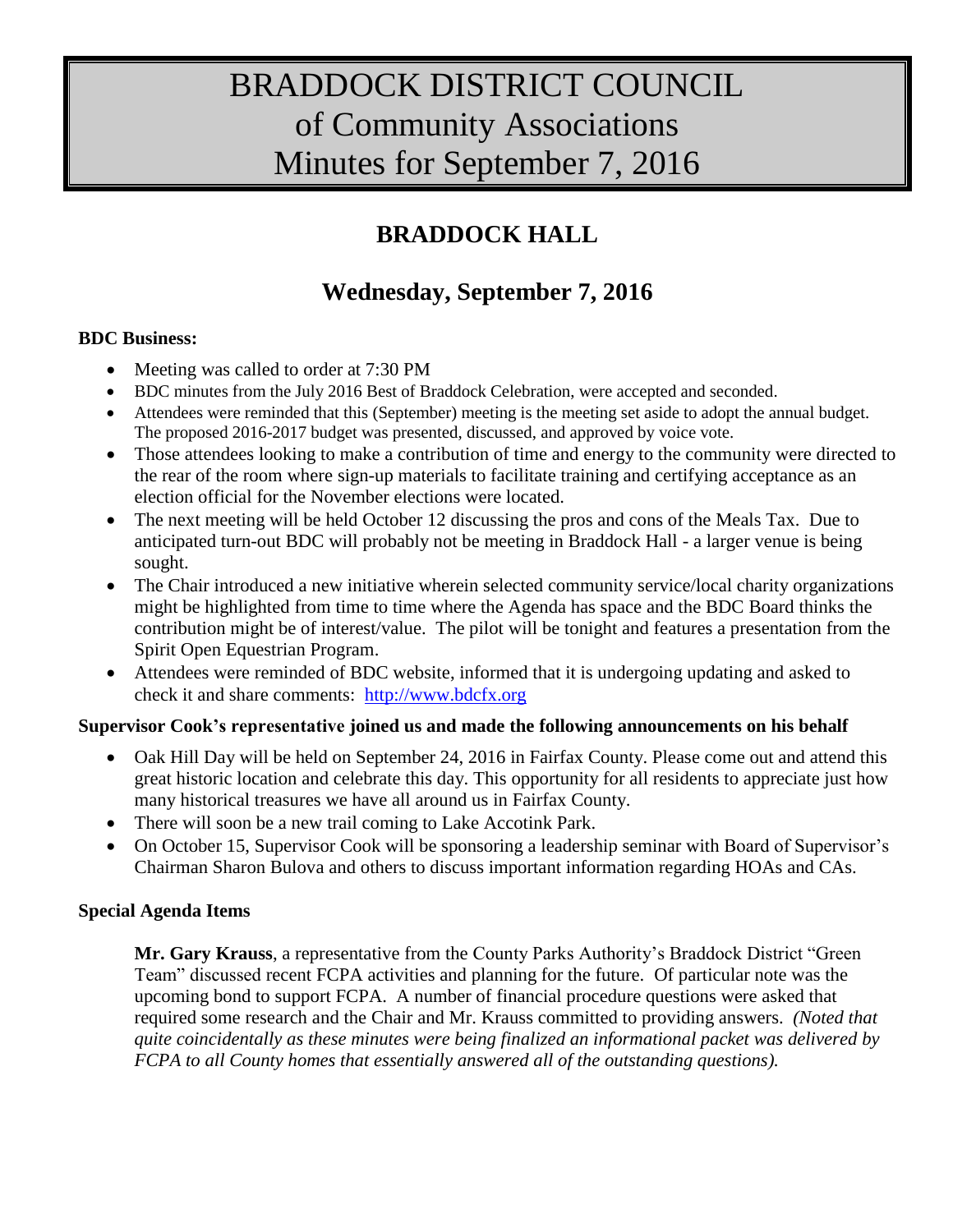# BRADDOCK DISTRICT COUNCIL of Community Associations Minutes for September 7, 2016

## **BRADDOCK HALL**

### **Wednesday, September 7, 2016**

#### **BDC Business:**

- Meeting was called to order at 7:30 PM
- BDC minutes from the July 2016 Best of Braddock Celebration, were accepted and seconded.
- Attendees were reminded that this (September) meeting is the meeting set aside to adopt the annual budget. The proposed 2016-2017 budget was presented, discussed, and approved by voice vote.
- Those attendees looking to make a contribution of time and energy to the community were directed to the rear of the room where sign-up materials to facilitate training and certifying acceptance as an election official for the November elections were located.
- The next meeting will be held October 12 discussing the pros and cons of the Meals Tax. Due to anticipated turn-out BDC will probably not be meeting in Braddock Hall - a larger venue is being sought.
- The Chair introduced a new initiative wherein selected community service/local charity organizations might be highlighted from time to time where the Agenda has space and the BDC Board thinks the contribution might be of interest/value. The pilot will be tonight and features a presentation from the Spirit Open Equestrian Program.
- Attendees were reminded of BDC website, informed that it is undergoing updating and asked to check it and share comments: [http://www.bdcfx.org](http://www.bdcfx.org/)

#### **Supervisor Cook's representative joined us and made the following announcements on his behalf**

- Oak Hill Day will be held on September 24, 2016 in Fairfax County. Please come out and attend this great historic location and celebrate this day. This opportunity for all residents to appreciate just how many historical treasures we have all around us in Fairfax County.
- There will soon be a new trail coming to Lake Accotink Park.
- On October 15, Supervisor Cook will be sponsoring a leadership seminar with Board of Supervisor's Chairman Sharon Bulova and others to discuss important information regarding HOAs and CAs.

### **Special Agenda Items**

**Mr. Gary Krauss**, a representative from the County Parks Authority's Braddock District "Green Team" discussed recent FCPA activities and planning for the future. Of particular note was the upcoming bond to support FCPA. A number of financial procedure questions were asked that required some research and the Chair and Mr. Krauss committed to providing answers. *(Noted that quite coincidentally as these minutes were being finalized an informational packet was delivered by FCPA to all County homes that essentially answered all of the outstanding questions).*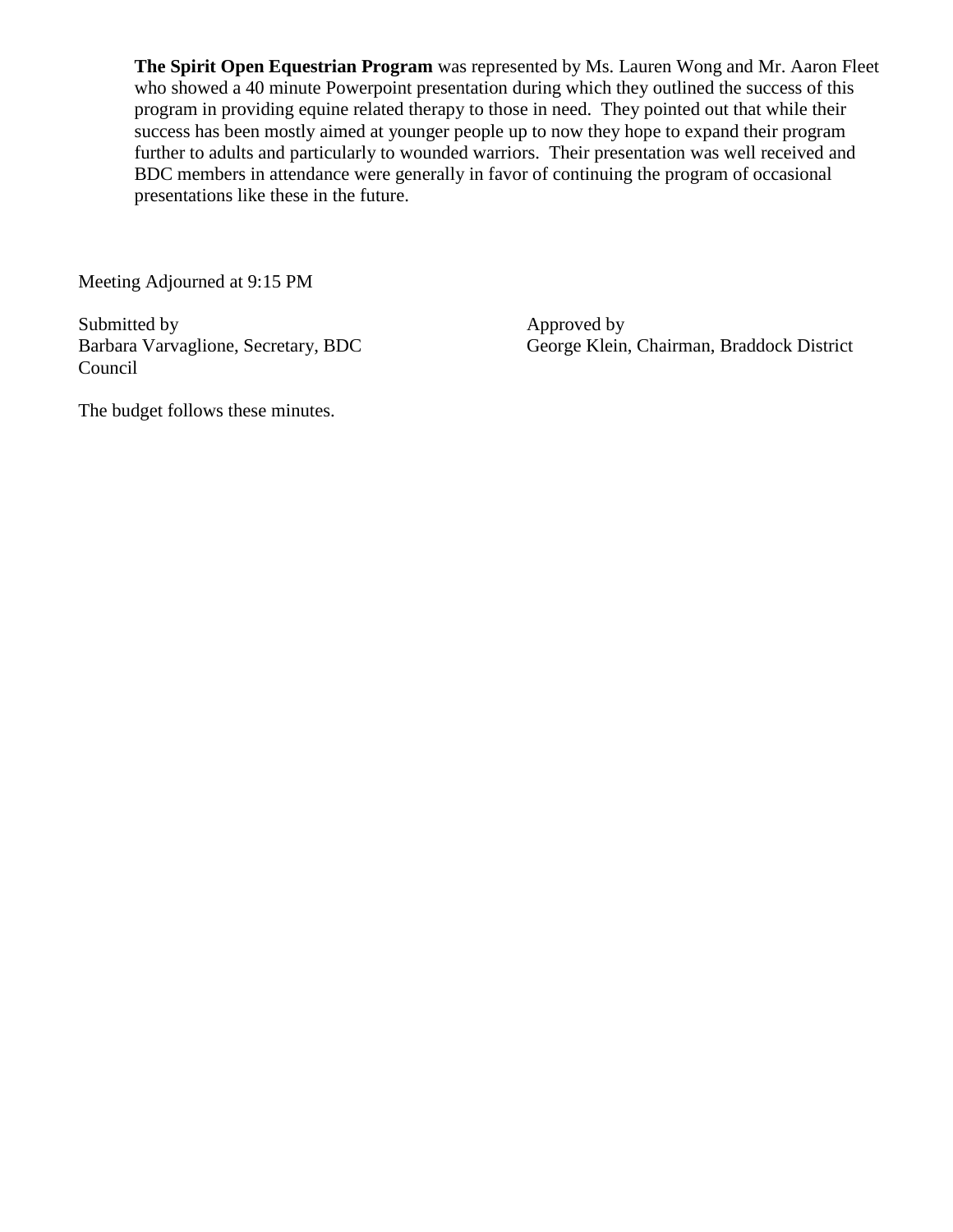**The Spirit Open Equestrian Program** was represented by Ms. Lauren Wong and Mr. Aaron Fleet who showed a 40 minute Powerpoint presentation during which they outlined the success of this program in providing equine related therapy to those in need. They pointed out that while their success has been mostly aimed at younger people up to now they hope to expand their program further to adults and particularly to wounded warriors. Their presentation was well received and BDC members in attendance were generally in favor of continuing the program of occasional presentations like these in the future.

Meeting Adjourned at 9:15 PM

Submitted by Approved by<br>Barbara Varvaglione, Secretary, BDC George Klein. Council

George Klein, Chairman, Braddock District

The budget follows these minutes.